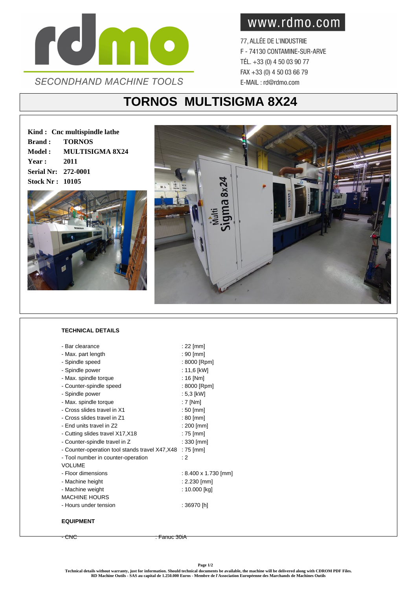

www.rdmo.com

77, ALLÉE DE L'INDUSTRIE F - 74130 CONTAMINE-SUR-ARVE TÉL. +33 (0) 4 50 03 90 77 FAX +33 (0) 4 50 03 66 79 E-MAIL: rd@rdmo.com

## **TORNOS MULTISIGMA 8X24**

**Kind : Cnc multispindle lathe Brand : TORNOS Model : MULTISIGMA 8X24 Year : 2011 Serial Nr: 272-0001 Stock Nr : 10105**





## **TECHNICAL DETAILS**

| - Bar clearance                                           | : 22 [mm]            |
|-----------------------------------------------------------|----------------------|
| - Max. part length                                        | : 90 [mm]            |
| - Spindle speed                                           | : 8000 [Rpm]         |
| - Spindle power                                           | : 11,6 [kW]          |
| - Max. spindle torque                                     | : $16$ [Nm]          |
| - Counter-spindle speed                                   | : 8000 [Rpm]         |
| - Spindle power                                           | $: 5.3$ [kW]         |
| - Max. spindle torque                                     | $: 7$ [Nm]           |
| - Cross slides travel in X1                               | $:50$ [mm]           |
| - Cross slides travel in Z1                               | $: 80$ [mm]          |
| - End units travel in Z2                                  | : 200 [mm]           |
| - Cutting slides travel X17, X18                          | : 75 [mm]            |
| - Counter-spindle travel in Z                             | $: 330$ [mm]         |
| - Counter-operation tool stands travel X47, X48 : 75 [mm] |                      |
| - Tool number in counter-operation                        | : 2                  |
| <b>VOLUME</b>                                             |                      |
| - Floor dimensions                                        | : 8.400 x 1.730 [mm] |
| - Machine height                                          | : 2.230 [mm]         |
| - Machine weight                                          | : 10.000 [kg]        |
| <b>MACHINE HOURS</b>                                      |                      |
| - Hours under tension                                     | : 36970 [h]          |
|                                                           |                      |
| <b>EQUIPMENT</b>                                          |                      |

- CNC : Fanuc 30iA

**Page 1/2**